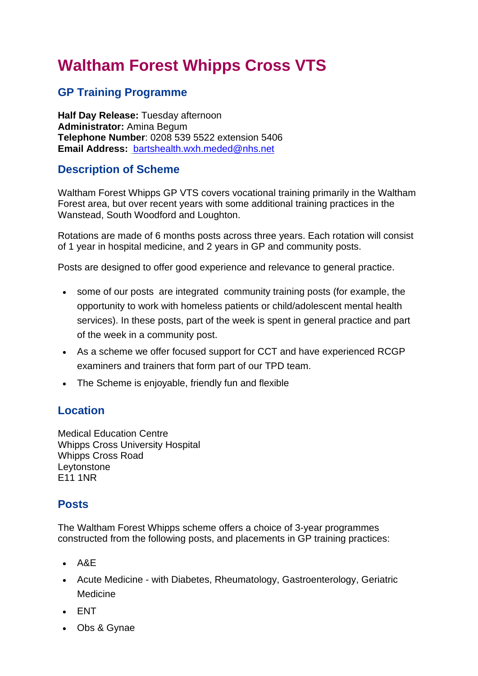# **Waltham Forest Whipps Cross VTS**

## **GP Training Programme**

**Half Day Release:** Tuesday afternoon **Administrator:** Amina Begum **Telephone Number**: 0208 539 5522 extension 5406 **Email Address:** [bartshealth.wxh.meded@nhs.net](mailto:bartshealth.wxh.meded@nhs.net)

### **Description of Scheme**

Waltham Forest Whipps GP VTS covers vocational training primarily in the Waltham Forest area, but over recent years with some additional training practices in the Wanstead, South Woodford and Loughton.

Rotations are made of 6 months posts across three years. Each rotation will consist of 1 year in hospital medicine, and 2 years in GP and community posts.

Posts are designed to offer good experience and relevance to general practice.

- some of our posts are integrated community training posts (for example, the opportunity to work with homeless patients or child/adolescent mental health services). In these posts, part of the week is spent in general practice and part of the week in a community post.
- As a scheme we offer focused support for CCT and have experienced RCGP examiners and trainers that form part of our TPD team.
- The Scheme is enjoyable, friendly fun and flexible

### **Location**

Medical Education Centre Whipps Cross University Hospital Whipps Cross Road Leytonstone E11 1NR

### **Posts**

The Waltham Forest Whipps scheme offers a choice of 3-year programmes constructed from the following posts, and placements in GP training practices:

- A&E
- Acute Medicine with Diabetes, Rheumatology, Gastroenterology, Geriatric Medicine
- ENT
- Obs & Gynae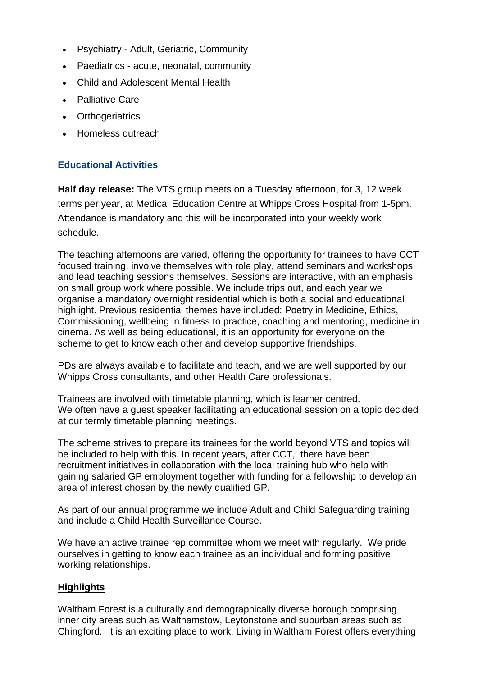- Psychiatry Adult, Geriatric, Community
- Paediatrics acute, neonatal, community
- Child and Adolescent Mental Health
- Palliative Care
- Orthogeriatrics
- Homeless outreach

#### **Educational Activities**

**Half day release:** The VTS group meets on a Tuesday afternoon, for 3, 12 week terms per year, at Medical Education Centre at Whipps Cross Hospital from 1-5pm. Attendance is mandatory and this will be incorporated into your weekly work schedule.

The teaching afternoons are varied, offering the opportunity for trainees to have CCT focused training, involve themselves with role play, attend seminars and workshops, and lead teaching sessions themselves. Sessions are interactive, with an emphasis on small group work where possible. We include trips out, and each year we organise a mandatory overnight residential which is both a social and educational highlight. Previous residential themes have included: Poetry in Medicine, Ethics, Commissioning, wellbeing in fitness to practice, coaching and mentoring, medicine in cinema. As well as being educational, it is an opportunity for everyone on the scheme to get to know each other and develop supportive friendships.

PDs are always available to facilitate and teach, and we are well supported by our Whipps Cross consultants, and other Health Care professionals.

Trainees are involved with timetable planning, which is learner centred. We often have a guest speaker facilitating an educational session on a topic decided at our termly timetable planning meetings.

The scheme strives to prepare its trainees for the world beyond VTS and topics will be included to help with this. In recent years, after CCT, there have been recruitment initiatives in collaboration with the local training hub who help with gaining salaried GP employment together with funding for a fellowship to develop an area of interest chosen by the newly qualified GP.

As part of our annual programme we include Adult and Child Safeguarding training and include a Child Health Surveillance Course.

We have an active trainee rep committee whom we meet with regularly. We pride ourselves in getting to know each trainee as an individual and forming positive working relationships.

#### **Highlights**

Waltham Forest is a culturally and demographically diverse borough comprising inner city areas such as Walthamstow, Leytonstone and suburban areas such as Chingford. It is an exciting place to work. Living in Waltham Forest offers everything